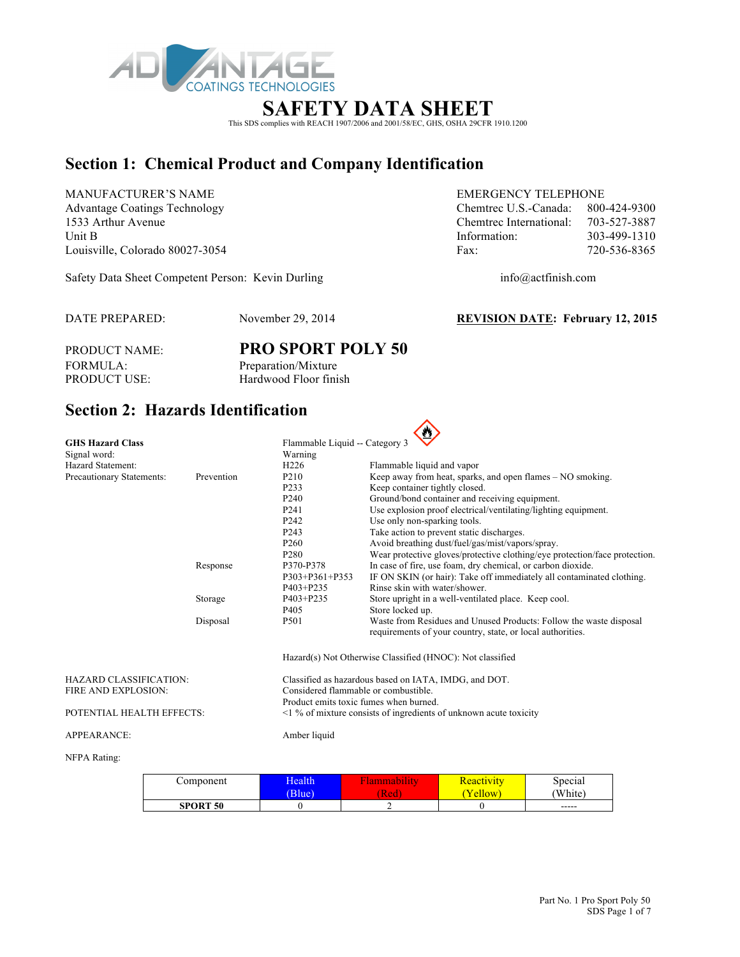

## **SAFETY DATA SHEET**

This SDS complies with REACH 1907/2006 and 2001/58/EC, GHS, OSHA 29CFR 1910.1200

# **Section 1: Chemical Product and Company Identification**

MANUFACTURER'S NAME EMERGENCY TELEPHONE

Safety Data Sheet Competent Person: Kevin Durling info@actfinish.com

Advantage Coatings Technology Chemtrec U.S.-Canada: 800-424-9300 1533 Arthur Avenue Chemtrec International: 703-527-3887 Unit B 103-499-1310 Louisville, Colorado 80027-3054 Fax: 720-536-8365

DATE PREPARED: November 29, 2014 **REVISION DATE: February 12, 2015**

PRODUCT NAME: **PRO SPORT POLY 50** FORMULA: Preparation/Mixture PRODUCT USE: Hardwood Floor finish

# **Section 2: Hazards Identification**

| <b>GHS Hazard Class</b>       |            | Flammable Liquid -- Category 3                        |                                                                                                                                  |  |  |
|-------------------------------|------------|-------------------------------------------------------|----------------------------------------------------------------------------------------------------------------------------------|--|--|
| Signal word:                  |            | Warning                                               |                                                                                                                                  |  |  |
| Hazard Statement:             |            | H <sub>226</sub>                                      | Flammable liquid and vapor                                                                                                       |  |  |
| Precautionary Statements:     | Prevention | P <sub>210</sub>                                      | Keep away from heat, sparks, and open flames – NO smoking.                                                                       |  |  |
|                               |            | P <sub>2</sub> 33                                     | Keep container tightly closed.                                                                                                   |  |  |
|                               |            | P <sub>240</sub>                                      | Ground/bond container and receiving equipment.                                                                                   |  |  |
|                               |            | P <sub>241</sub>                                      | Use explosion proof electrical/ventilating/lighting equipment.                                                                   |  |  |
|                               |            | P <sub>242</sub>                                      | Use only non-sparking tools.                                                                                                     |  |  |
|                               |            | P <sub>243</sub>                                      | Take action to prevent static discharges.                                                                                        |  |  |
|                               |            | P <sub>260</sub>                                      | Avoid breathing dust/fuel/gas/mist/vapors/spray.                                                                                 |  |  |
|                               |            | P <sub>280</sub>                                      | Wear protective gloves/protective clothing/eye protection/face protection.                                                       |  |  |
|                               | Response   | P370-P378                                             | In case of fire, use foam, dry chemical, or carbon dioxide.                                                                      |  |  |
|                               |            | $P303+P361+P353$                                      | IF ON SKIN (or hair): Take off immediately all contaminated clothing.                                                            |  |  |
|                               |            | $P403 + P235$                                         | Rinse skin with water/shower.                                                                                                    |  |  |
|                               | Storage    | P403+P235                                             | Store upright in a well-ventilated place. Keep cool.                                                                             |  |  |
|                               |            | P405                                                  | Store locked up.                                                                                                                 |  |  |
|                               | Disposal   | P <sub>501</sub>                                      | Waste from Residues and Unused Products: Follow the waste disposal<br>requirements of your country, state, or local authorities. |  |  |
|                               |            |                                                       | Hazard(s) Not Otherwise Classified (HNOC): Not classified                                                                        |  |  |
| <b>HAZARD CLASSIFICATION:</b> |            | Classified as hazardous based on IATA, IMDG, and DOT. |                                                                                                                                  |  |  |
| FIRE AND EXPLOSION:           |            | Considered flammable or combustible.                  |                                                                                                                                  |  |  |
|                               |            | Product emits toxic fumes when burned.                |                                                                                                                                  |  |  |
| POTENTIAL HEALTH EFFECTS:     |            |                                                       | $\leq$ 1 % of mixture consists of ingredients of unknown acute toxicity                                                          |  |  |
| <b>APPEARANCE:</b>            |            | Amber liquid                                          |                                                                                                                                  |  |  |

#### NFPA Rating:

| Component       | Health<br>Blue <sup>)</sup> | Red | <u> Reactivity</u><br>ellow | Special<br>'White) |
|-----------------|-----------------------------|-----|-----------------------------|--------------------|
| <b>SPORT 50</b> |                             | ∼   |                             | $- - - - -$        |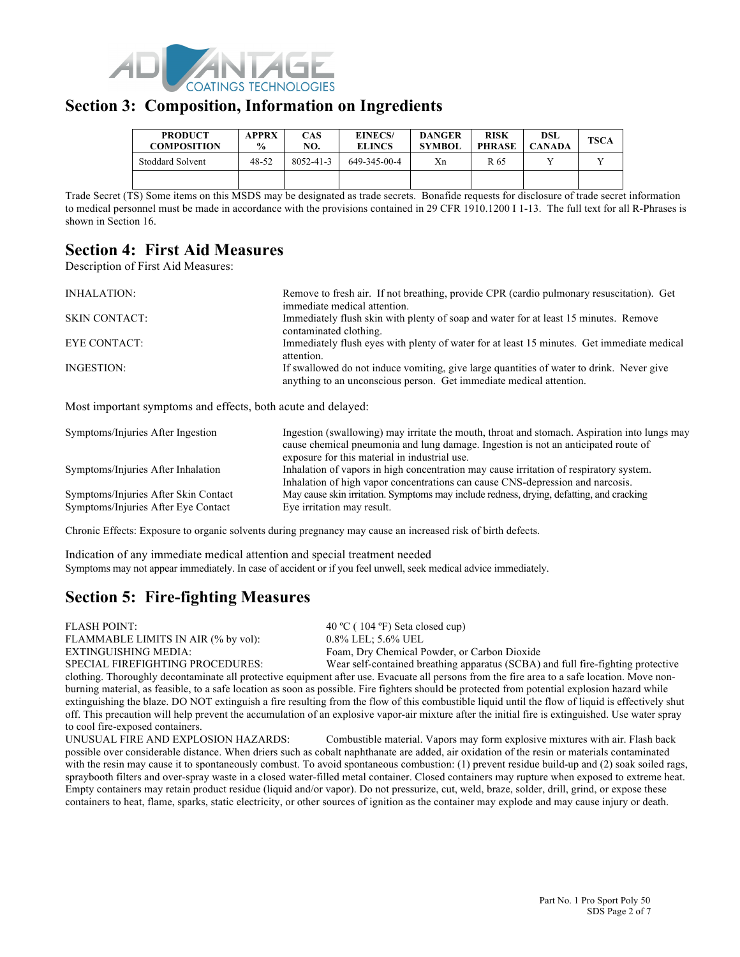

#### **Section 3: Composition, Information on Ingredients**

| <b>PRODUCT</b><br><b>COMPOSITION</b> | <b>APPRX</b><br>$\frac{0}{0}$ | CAS<br>NO. | <b>EINECS/</b><br><b>ELINCS</b> | <b>DANGER</b><br><b>SYMBOL</b> | <b>RISK</b><br><b>PHRASE</b> | <b>DSL</b><br><b>CANADA</b> | <b>TSCA</b> |
|--------------------------------------|-------------------------------|------------|---------------------------------|--------------------------------|------------------------------|-----------------------------|-------------|
| Stoddard Solvent                     | 48-52                         | 8052-41-3  | 649-345-00-4                    | Xn                             | R 65                         |                             |             |
|                                      |                               |            |                                 |                                |                              |                             |             |

Trade Secret (TS) Some items on this MSDS may be designated as trade secrets. Bonafide requests for disclosure of trade secret information to medical personnel must be made in accordance with the provisions contained in 29 CFR 1910.1200 I 1-13. The full text for all R-Phrases is shown in Section 16.

## **Section 4: First Aid Measures**

Description of First Aid Measures:

| Remove to fresh air. If not breathing, provide CPR (cardio pulmonary resuscitation). Get                                                                        |
|-----------------------------------------------------------------------------------------------------------------------------------------------------------------|
| immediate medical attention.                                                                                                                                    |
| Immediately flush skin with plenty of soap and water for at least 15 minutes. Remove                                                                            |
| contaminated clothing.                                                                                                                                          |
| Immediately flush eyes with plenty of water for at least 15 minutes. Get immediate medical<br>attention.                                                        |
| If swallowed do not induce vomiting, give large quantities of water to drink. Never give<br>anything to an unconscious person. Get immediate medical attention. |
|                                                                                                                                                                 |

Most important symptoms and effects, both acute and delayed:

| Symptoms/Injuries After Ingestion                                           | Ingestion (swallowing) may irritate the mouth, throat and stomach. Aspiration into lungs may<br>cause chemical pneumonia and lung damage. Ingestion is not an anticipated route of<br>exposure for this material in industrial use. |
|-----------------------------------------------------------------------------|-------------------------------------------------------------------------------------------------------------------------------------------------------------------------------------------------------------------------------------|
| Symptoms/Injuries After Inhalation                                          | Inhalation of vapors in high concentration may cause irritation of respiratory system.<br>Inhalation of high vapor concentrations can cause CNS-depression and narcosis.                                                            |
| Symptoms/Injuries After Skin Contact<br>Symptoms/Injuries After Eye Contact | May cause skin irritation. Symptoms may include redness, drying, defatting, and cracking<br>Eye irritation may result.                                                                                                              |

Chronic Effects: Exposure to organic solvents during pregnancy may cause an increased risk of birth defects.

Indication of any immediate medical attention and special treatment needed Symptoms may not appear immediately. In case of accident or if you feel unwell, seek medical advice immediately.

# **Section 5: Fire-fighting Measures**

FLASH POINT: 40 °C (104 °F) Seta closed cup) FLAMMABLE LIMITS IN AIR (% by vol): 0.8% LEL; 5.6% UEL EXTINGUISHING MEDIA: Foam, Dry Chemical Powder, or Carbon Dioxide

SPECIAL FIREFIGHTING PROCEDURES: Wear self-contained breathing apparatus (SCBA) and full fire-fighting protective clothing. Thoroughly decontaminate all protective equipment after use. Evacuate all persons from the fire area to a safe location. Move nonburning material, as feasible, to a safe location as soon as possible. Fire fighters should be protected from potential explosion hazard while extinguishing the blaze. DO NOT extinguish a fire resulting from the flow of this combustible liquid until the flow of liquid is effectively shut off. This precaution will help prevent the accumulation of an explosive vapor-air mixture after the initial fire is extinguished. Use water spray to cool fire-exposed containers.

UNUSUAL FIRE AND EXPLOSION HAZARDS: Combustible material. Vapors may form explosive mixtures with air. Flash back possible over considerable distance. When driers such as cobalt naphthanate are added, air oxidation of the resin or materials contaminated with the resin may cause it to spontaneously combust. To avoid spontaneous combustion: (1) prevent residue build-up and (2) soak soiled rags, spraybooth filters and over-spray waste in a closed water-filled metal container. Closed containers may rupture when exposed to extreme heat. Empty containers may retain product residue (liquid and/or vapor). Do not pressurize, cut, weld, braze, solder, drill, grind, or expose these containers to heat, flame, sparks, static electricity, or other sources of ignition as the container may explode and may cause injury or death.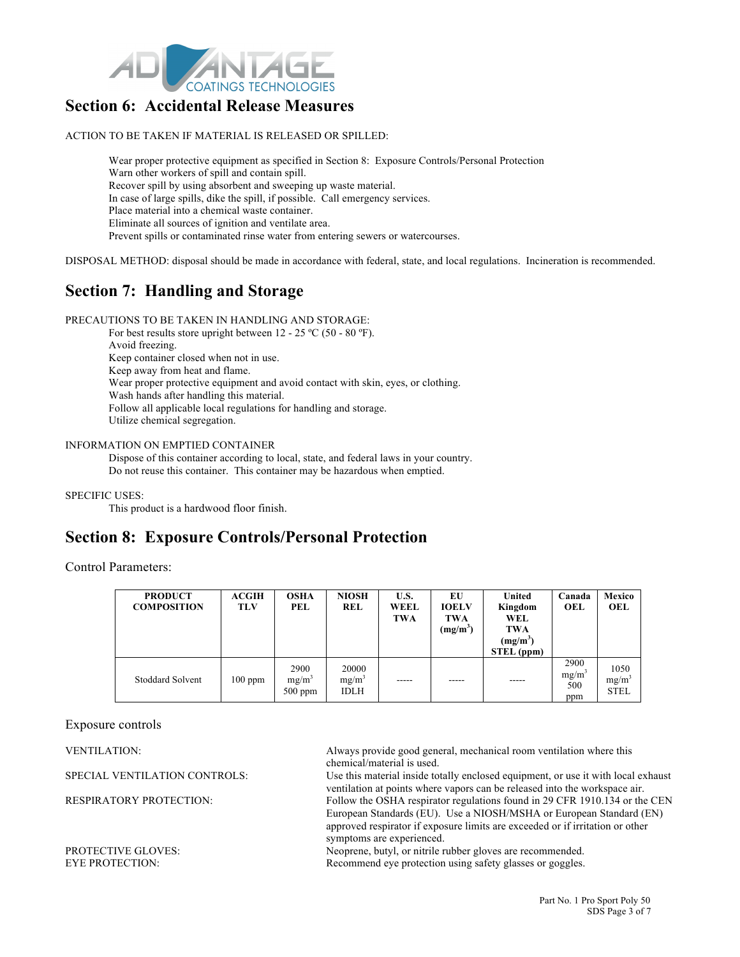

#### **Section 6: Accidental Release Measures**

ACTION TO BE TAKEN IF MATERIAL IS RELEASED OR SPILLED:

Wear proper protective equipment as specified in Section 8: Exposure Controls/Personal Protection Warn other workers of spill and contain spill. Recover spill by using absorbent and sweeping up waste material. In case of large spills, dike the spill, if possible. Call emergency services. Place material into a chemical waste container. Eliminate all sources of ignition and ventilate area. Prevent spills or contaminated rinse water from entering sewers or watercourses.

DISPOSAL METHOD: disposal should be made in accordance with federal, state, and local regulations. Incineration is recommended.

## **Section 7: Handling and Storage**

PRECAUTIONS TO BE TAKEN IN HANDLING AND STORAGE:

For best results store upright between 12 - 25 °C (50 - 80 °F).

Avoid freezing. Keep container closed when not in use. Keep away from heat and flame. Wear proper protective equipment and avoid contact with skin, eyes, or clothing. Wash hands after handling this material. Follow all applicable local regulations for handling and storage. Utilize chemical segregation.

#### INFORMATION ON EMPTIED CONTAINER

Dispose of this container according to local, state, and federal laws in your country. Do not reuse this container. This container may be hazardous when emptied.

SPECIFIC USES:

This product is a hardwood floor finish.

## **Section 8: Exposure Controls/Personal Protection**

Control Parameters:

| <b>PRODUCT</b><br><b>COMPOSITION</b> | ACGIH<br><b>TLV</b> | <b>OSHA</b><br>PEL            | <b>NIOSH</b><br>REL              | U.S.<br><b>WEEL</b><br><b>TWA</b> | EU<br><b>IOELV</b><br><b>TWA</b><br>$(mg/m^3)$ | United<br>Kingdom<br>WEL<br><b>TWA</b><br>$(mg/m^3)$<br>STEL (ppm) | Canada<br>OEL                           | Mexico<br>OEL                   |
|--------------------------------------|---------------------|-------------------------------|----------------------------------|-----------------------------------|------------------------------------------------|--------------------------------------------------------------------|-----------------------------------------|---------------------------------|
| <b>Stoddard Solvent</b>              | $100$ ppm           | 2900<br>$mg/m^3$<br>$500$ ppm | 20000<br>$mg/m^3$<br><b>IDLH</b> |                                   |                                                |                                                                    | 2900<br>mg/m <sup>3</sup><br>500<br>ppm | 1050<br>$mg/m^3$<br><b>STEL</b> |

Exposure controls

VENTILATION: Always provide good general, mechanical room ventilation where this chemical/material is used.

SPECIAL VENTILATION CONTROLS: Use this material inside totally enclosed equipment, or use it with local exhaust ventilation at points where vapors can be released into the workspace air. RESPIRATORY PROTECTION: Follow the OSHA respirator regulations found in 29 CFR 1910.134 or the CEN European Standards (EU). Use a NIOSH/MSHA or European Standard (EN) approved respirator if exposure limits are exceeded or if irritation or other symptoms are experienced.

PROTECTIVE GLOVES:<br>
FYE PROTECTION:<br>
FYE PROTECTION:<br>
Recommend eve protection using safety glasses or goggles. Recommend eye protection using safety glasses or goggles.

> Part No. 1 Pro Sport Poly 50 SDS Page 3 of 7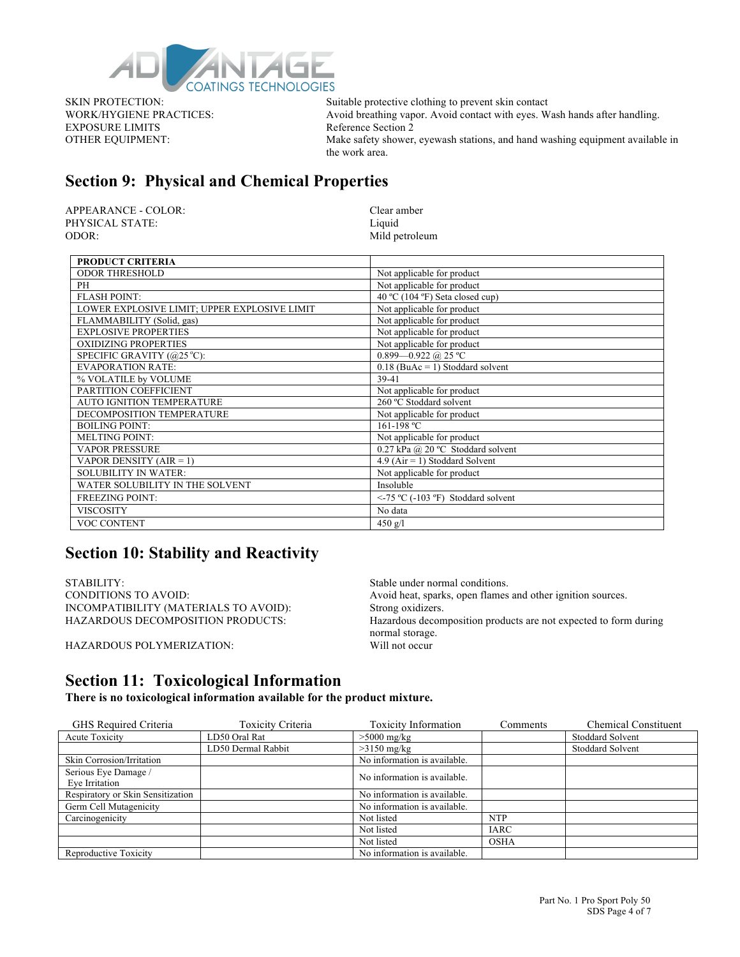

EXPOSURE LIMITS Reference Section 2

SKIN PROTECTION: Suitable protective clothing to prevent skin contact WORK/HYGIENE PRACTICES: Avoid breathing vapor. Avoid contact with eyes. Wash hands after handling. OTHER EQUIPMENT: Make safety shower, eyewash stations, and hand washing equipment available in the work area.

## **Section 9: Physical and Chemical Properties**

APPEARANCE - COLOR: Clear amber PHYSICAL STATE: Liquid ODOR: Mild petroleum

| <b>PRODUCT CRITERIA</b>                      |                                         |
|----------------------------------------------|-----------------------------------------|
| <b>ODOR THRESHOLD</b>                        | Not applicable for product              |
| PH                                           | Not applicable for product              |
| <b>FLASH POINT:</b>                          | 40 °C (104 °F) Seta closed cup)         |
| LOWER EXPLOSIVE LIMIT; UPPER EXPLOSIVE LIMIT | Not applicable for product              |
| FLAMMABILITY (Solid, gas)                    | Not applicable for product              |
| <b>EXPLOSIVE PROPERTIES</b>                  | Not applicable for product              |
| <b>OXIDIZING PROPERTIES</b>                  | Not applicable for product              |
| SPECIFIC GRAVITY (@25 °C):                   | 0.899-0.922 @ 25 °C                     |
| <b>EVAPORATION RATE:</b>                     | $0.18$ (BuAc = 1) Stoddard solvent      |
| % VOLATILE by VOLUME                         | 39-41                                   |
| PARTITION COEFFICIENT                        | Not applicable for product              |
| <b>AUTO IGNITION TEMPERATURE</b>             | 260 °C Stoddard solvent                 |
| DECOMPOSITION TEMPERATURE                    | Not applicable for product              |
| <b>BOILING POINT:</b>                        | 161-198 °C                              |
| <b>MELTING POINT:</b>                        | Not applicable for product              |
| <b>VAPOR PRESSURE</b>                        | 0.27 kPa @ 20 °C Stoddard solvent       |
| VAPOR DENSITY $(AIR = 1)$                    | $4.9$ (Air = 1) Stoddard Solvent        |
| <b>SOLUBILITY IN WATER:</b>                  | Not applicable for product              |
| WATER SOLUBILITY IN THE SOLVENT              | Insoluble                               |
| <b>FREEZING POINT:</b>                       | $\le$ -75 °C (-103 °F) Stoddard solvent |
| <b>VISCOSITY</b>                             | No data                                 |
| VOC CONTENT                                  | $450 \text{ g}/1$                       |

#### **Section 10: Stability and Reactivity**

STABILITY: Stable under normal conditions. INCOMPATIBILITY (MATERIALS TO AVOID): Strong oxidizers.

CONDITIONS TO AVOID: Avoid heat, sparks, open flames and other ignition sources. HAZARDOUS DECOMPOSITION PRODUCTS: Hazardous decomposition products are not expected to form during normal storage.<br>Will not occur

HAZARDOUS POLYMERIZATION:

## **Section 11: Toxicological Information**

**There is no toxicological information available for the product mixture.**

| GHS Required Criteria             | <b>Toxicity Criteria</b> | <b>Toxicity Information</b>  | Comments    | <b>Chemical Constituent</b> |
|-----------------------------------|--------------------------|------------------------------|-------------|-----------------------------|
| <b>Acute Toxicity</b>             | LD50 Oral Rat            | $>5000$ mg/kg                |             | Stoddard Solvent            |
|                                   | LD50 Dermal Rabbit       | $>3150$ mg/kg                |             | <b>Stoddard Solvent</b>     |
| Skin Corrosion/Irritation         |                          | No information is available. |             |                             |
| Serious Eye Damage /              |                          | No information is available. |             |                             |
| Eye Irritation                    |                          |                              |             |                             |
| Respiratory or Skin Sensitization |                          | No information is available. |             |                             |
| Germ Cell Mutagenicity            |                          | No information is available. |             |                             |
| Carcinogenicity                   |                          | Not listed                   | <b>NTP</b>  |                             |
|                                   |                          | Not listed                   | <b>IARC</b> |                             |
|                                   |                          | Not listed                   | <b>OSHA</b> |                             |
| Reproductive Toxicity             |                          | No information is available. |             |                             |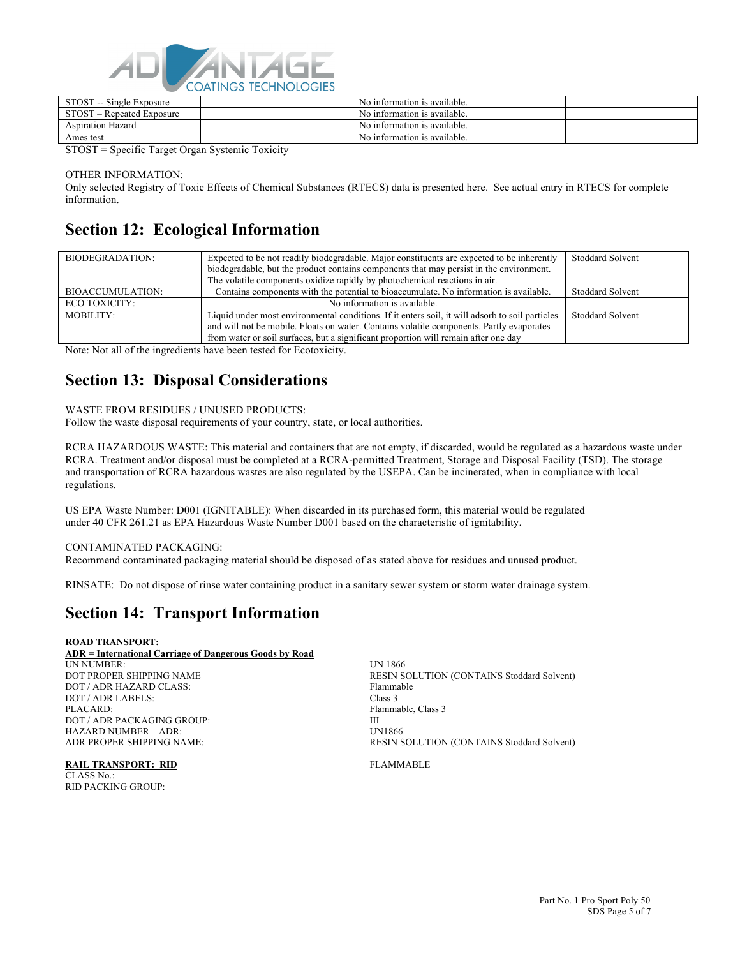

| CTOCT<br>Single Exposure<br>$- -$<br>31 U.S.I | No information is available. |  |
|-----------------------------------------------|------------------------------|--|
| <b>STOST</b><br>Repeated Exposure<br>-        | No information is available. |  |
| Aspiration Hazard                             | No information is available. |  |
| Ames test                                     | No information is available. |  |

STOST = Specific Target Organ Systemic Toxicity

OTHER INFORMATION:

Only selected Registry of Toxic Effects of Chemical Substances (RTECS) data is presented here. See actual entry in RTECS for complete information.

## **Section 12: Ecological Information**

| BIODEGRADATION:  | Expected to be not readily biodegradable. Major constituents are expected to be inherently<br>biodegradable, but the product contains components that may persist in the environment.<br>The volatile components oxidize rapidly by photochemical reactions in air.                | <b>Stoddard Solvent</b> |
|------------------|------------------------------------------------------------------------------------------------------------------------------------------------------------------------------------------------------------------------------------------------------------------------------------|-------------------------|
| BIOACCUMULATION: | Contains components with the potential to bioaccumulate. No information is available.                                                                                                                                                                                              | <b>Stoddard Solvent</b> |
| ECO TOXICITY:    | No information is available.                                                                                                                                                                                                                                                       |                         |
| MOBILITY:        | Liquid under most environmental conditions. If it enters soil, it will adsorb to soil particles<br>and will not be mobile. Floats on water. Contains volatile components. Partly evaporates<br>from water or soil surfaces, but a significant proportion will remain after one day | <b>Stoddard Solvent</b> |

Note: Not all of the ingredients have been tested for Ecotoxicity.

## **Section 13: Disposal Considerations**

#### WASTE FROM RESIDUES / UNUSED PRODUCTS:

Follow the waste disposal requirements of your country, state, or local authorities.

RCRA HAZARDOUS WASTE: This material and containers that are not empty, if discarded, would be regulated as a hazardous waste under RCRA. Treatment and/or disposal must be completed at a RCRA-permitted Treatment, Storage and Disposal Facility (TSD). The storage and transportation of RCRA hazardous wastes are also regulated by the USEPA. Can be incinerated, when in compliance with local regulations.

US EPA Waste Number: D001 (IGNITABLE): When discarded in its purchased form, this material would be regulated under 40 CFR 261.21 as EPA Hazardous Waste Number D001 based on the characteristic of ignitability.

#### CONTAMINATED PACKAGING:

Recommend contaminated packaging material should be disposed of as stated above for residues and unused product.

RINSATE: Do not dispose of rinse water containing product in a sanitary sewer system or storm water drainage system.

## **Section 14: Transport Information**

#### **ROAD TRANSPORT:**

| ADR = International Carriage of Dangerous Goods by Road |                                                   |
|---------------------------------------------------------|---------------------------------------------------|
| UN NUMBER:                                              | UN 1866                                           |
| DOT PROPER SHIPPING NAME                                | <b>RESIN SOLUTION (CONTAINS Stoddard Solvent)</b> |
| DOT / ADR HAZARD CLASS:                                 | Flammable                                         |
| DOT / ADR LABELS:                                       | Class 3                                           |
| PLACARD:                                                | Flammable, Class 3                                |
| DOT / ADR PACKAGING GROUP:                              | Ш                                                 |
| HAZARD NUMBER – ADR:                                    | <b>UN1866</b>                                     |
| ADR PROPER SHIPPING NAME:                               | <b>RESIN SOLUTION (CONTAINS Stoddard Solvent)</b> |

**RAIL TRANSPORT: RID** FLAMMABLE CLASS No.: RID PACKING GROUP: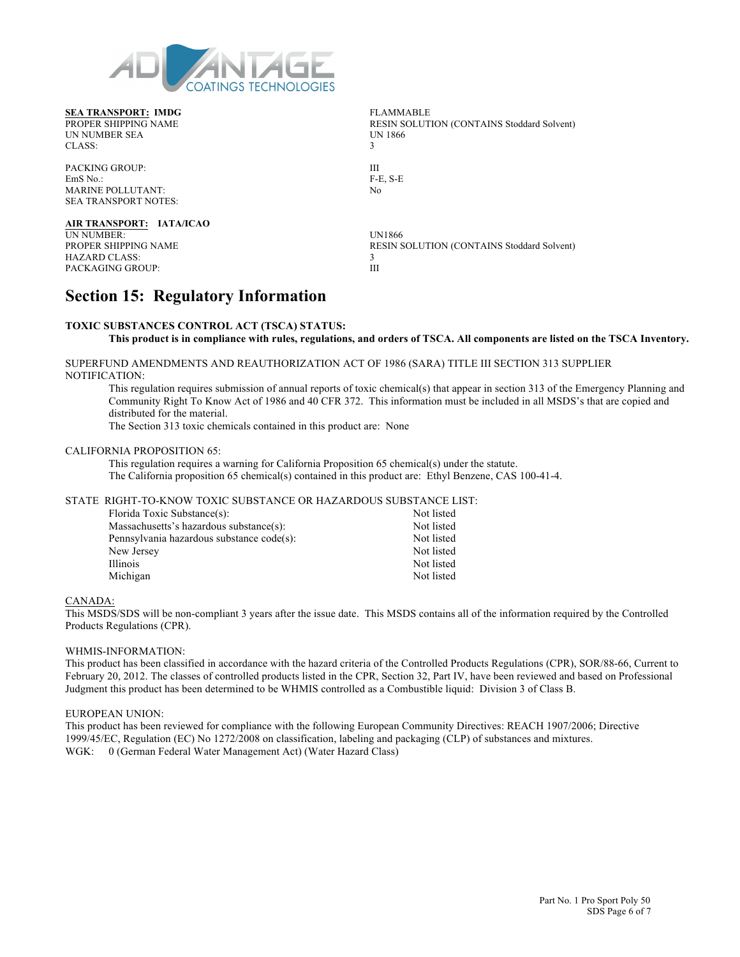

**SEA TRANSPORT: IMDG** FLAMMABLE PROPER SHIPPING NAME RESIN SOLUTION (CONTAINS Stoddard Solvent)<br>UN NUMBER SEA UN 1866 UN NUMBER SEA UNITED SEA UNITED SEAS UNITED SEAS UNITED SEASONS CLASS: 3

PACKING GROUP: III EmS No.: F-E, S-E MARINE POLLUTANT: No SEA TRANSPORT NOTES:

**AIR TRANSPORT: IATA/ICAO** UN NUMBER: UN1866 HAZARD CLASS: 3 PACKAGING GROUP:

RESIN SOLUTION (CONTAINS Stoddard Solvent)

## **Section 15: Regulatory Information**

#### **TOXIC SUBSTANCES CONTROL ACT (TSCA) STATUS:**

**This product is in compliance with rules, regulations, and orders of TSCA. All components are listed on the TSCA Inventory.**

SUPERFUND AMENDMENTS AND REAUTHORIZATION ACT OF 1986 (SARA) TITLE III SECTION 313 SUPPLIER NOTIFICATION:

This regulation requires submission of annual reports of toxic chemical(s) that appear in section 313 of the Emergency Planning and Community Right To Know Act of 1986 and 40 CFR 372. This information must be included in all MSDS's that are copied and distributed for the material.

The Section 313 toxic chemicals contained in this product are: None

#### CALIFORNIA PROPOSITION 65:

This regulation requires a warning for California Proposition 65 chemical(s) under the statute. The California proposition 65 chemical(s) contained in this product are: Ethyl Benzene, CAS 100-41-4.

#### STATE RIGHT-TO-KNOW TOXIC SUBSTANCE OR HAZARDOUS SUBSTANCE LIST:

| Florida Toxic Substance(s):               | Not listed |
|-------------------------------------------|------------|
| Massachusetts's hazardous substance(s):   | Not listed |
| Pennsylvania hazardous substance code(s): | Not listed |
| New Jersey                                | Not listed |
| Illinois                                  | Not listed |
| Michigan                                  | Not listed |

#### CANADA:

This MSDS/SDS will be non-compliant 3 years after the issue date. This MSDS contains all of the information required by the Controlled Products Regulations (CPR).

#### WHMIS-INFORMATION:

This product has been classified in accordance with the hazard criteria of the Controlled Products Regulations (CPR), SOR/88-66, Current to February 20, 2012. The classes of controlled products listed in the CPR, Section 32, Part IV, have been reviewed and based on Professional Judgment this product has been determined to be WHMIS controlled as a Combustible liquid: Division 3 of Class B.

#### EUROPEAN UNION:

This product has been reviewed for compliance with the following European Community Directives: REACH 1907/2006; Directive 1999/45/EC, Regulation (EC) No 1272/2008 on classification, labeling and packaging (CLP) of substances and mixtures. WGK: 0 (German Federal Water Management Act) (Water Hazard Class)